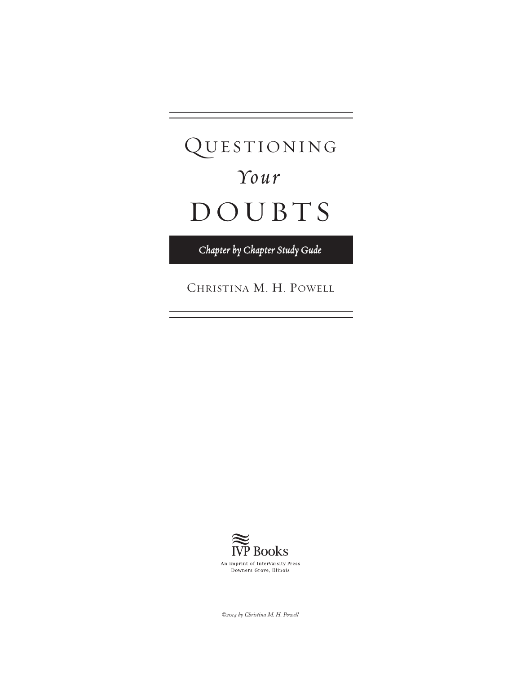# QUESTIONING *Your*  DOUBTS

*Chapter by Chapter Study Gude*

Christina M. H. Powell



*©2014 by Christina M. H. Powell*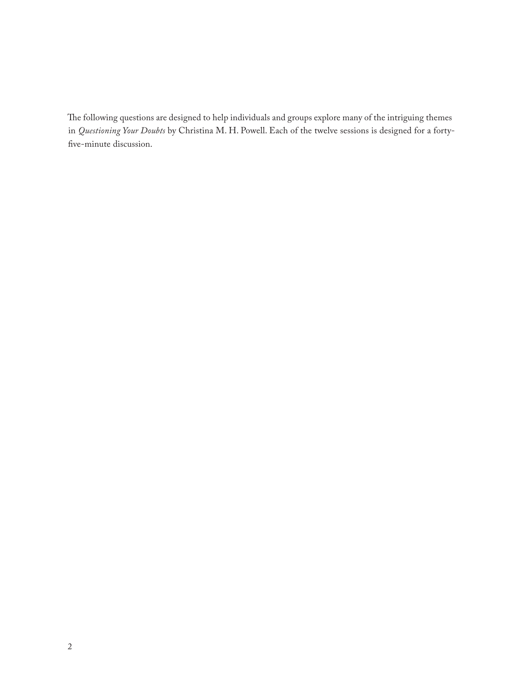The following questions are designed to help individuals and groups explore many of the intriguing themes in *Questioning Your Doubts* by Christina M. H. Powell. Each of the twelve sessions is designed for a fortyfive-minute discussion.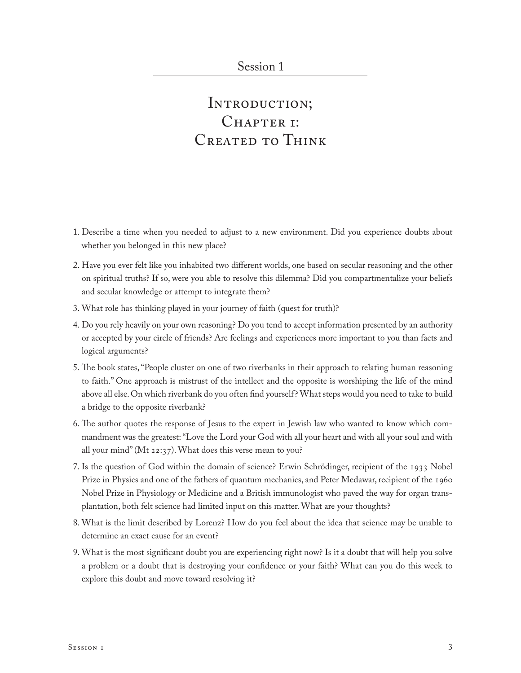#### INTRODUCTION; CHAPTER I: CREATED TO THINK

- 1. Describe a time when you needed to adjust to a new environment. Did you experience doubts about whether you belonged in this new place?
- 2. Have you ever felt like you inhabited two different worlds, one based on secular reasoning and the other on spiritual truths? If so, were you able to resolve this dilemma? Did you compartmentalize your beliefs and secular knowledge or attempt to integrate them?
- 3. What role has thinking played in your journey of faith (quest for truth)?
- 4. Do you rely heavily on your own reasoning? Do you tend to accept information presented by an authority or accepted by your circle of friends? Are feelings and experiences more important to you than facts and logical arguments?
- 5. The book states, "People cluster on one of two riverbanks in their approach to relating human reasoning to faith." One approach is mistrust of the intellect and the opposite is worshiping the life of the mind above all else. On which riverbank do you often find yourself? What steps would you need to take to build a bridge to the opposite riverbank?
- 6. The author quotes the response of Jesus to the expert in Jewish law who wanted to know which commandment was the greatest: "Love the Lord your God with all your heart and with all your soul and with all your mind" (Mt 22:37). What does this verse mean to you?
- 7. Is the question of God within the domain of science? Erwin Schrödinger, recipient of the 1933 Nobel Prize in Physics and one of the fathers of quantum mechanics, and Peter Medawar, recipient of the 1960 Nobel Prize in Physiology or Medicine and a British immunologist who paved the way for organ transplantation, both felt science had limited input on this matter. What are your thoughts?
- 8. What is the limit described by Lorenz? How do you feel about the idea that science may be unable to determine an exact cause for an event?
- 9. What is the most significant doubt you are experiencing right now? Is it a doubt that will help you solve a problem or a doubt that is destroying your confidence or your faith? What can you do this week to explore this doubt and move toward resolving it?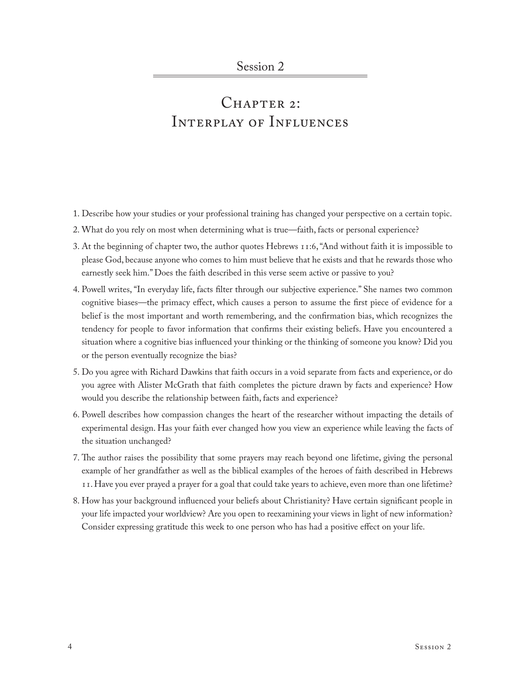### CHAPTER 2: Interplay of Influences

- 1. Describe how your studies or your professional training has changed your perspective on a certain topic.
- 2. What do you rely on most when determining what is true—faith, facts or personal experience?
- 3. At the beginning of chapter two, the author quotes Hebrews 11:6, "And without faith it is impossible to please God, because anyone who comes to him must believe that he exists and that he rewards those who earnestly seek him." Does the faith described in this verse seem active or passive to you?
- 4. Powell writes, "In everyday life, facts filter through our subjective experience." She names two common cognitive biases—the primacy effect, which causes a person to assume the first piece of evidence for a belief is the most important and worth remembering, and the confirmation bias, which recognizes the tendency for people to favor information that confirms their existing beliefs. Have you encountered a situation where a cognitive bias influenced your thinking or the thinking of someone you know? Did you or the person eventually recognize the bias?
- 5. Do you agree with Richard Dawkins that faith occurs in a void separate from facts and experience, or do you agree with Alister McGrath that faith completes the picture drawn by facts and experience? How would you describe the relationship between faith, facts and experience?
- 6. Powell describes how compassion changes the heart of the researcher without impacting the details of experimental design. Has your faith ever changed how you view an experience while leaving the facts of the situation unchanged?
- 7. The author raises the possibility that some prayers may reach beyond one lifetime, giving the personal example of her grandfather as well as the biblical examples of the heroes of faith described in Hebrews 11. Have you ever prayed a prayer for a goal that could take years to achieve, even more than one lifetime?
- 8. How has your background influenced your beliefs about Christianity? Have certain significant people in your life impacted your worldview? Are you open to reexamining your views in light of new information? Consider expressing gratitude this week to one person who has had a positive effect on your life.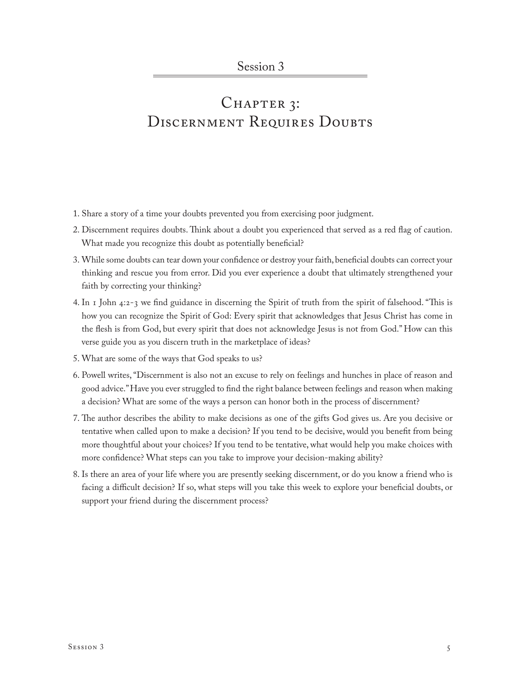## CHAPTER 3: DISCERNMENT REQUIRES DOUBTS

- 1. Share a story of a time your doubts prevented you from exercising poor judgment.
- 2. Discernment requires doubts. Think about a doubt you experienced that served as a red flag of caution. What made you recognize this doubt as potentially beneficial?
- 3. While some doubts can tear down your confidence or destroy your faith, beneficial doubts can correct your thinking and rescue you from error. Did you ever experience a doubt that ultimately strengthened your faith by correcting your thinking?
- 4. In 1 John 4:2-3 we find guidance in discerning the Spirit of truth from the spirit of falsehood. "This is how you can recognize the Spirit of God: Every spirit that acknowledges that Jesus Christ has come in the flesh is from God, but every spirit that does not acknowledge Jesus is not from God." How can this verse guide you as you discern truth in the marketplace of ideas?
- 5. What are some of the ways that God speaks to us?
- 6. Powell writes, "Discernment is also not an excuse to rely on feelings and hunches in place of reason and good advice." Have you ever struggled to find the right balance between feelings and reason when making a decision? What are some of the ways a person can honor both in the process of discernment?
- 7. The author describes the ability to make decisions as one of the gifts God gives us. Are you decisive or tentative when called upon to make a decision? If you tend to be decisive, would you benefit from being more thoughtful about your choices? If you tend to be tentative, what would help you make choices with more confidence? What steps can you take to improve your decision-making ability?
- 8. Is there an area of your life where you are presently seeking discernment, or do you know a friend who is facing a difficult decision? If so, what steps will you take this week to explore your beneficial doubts, or support your friend during the discernment process?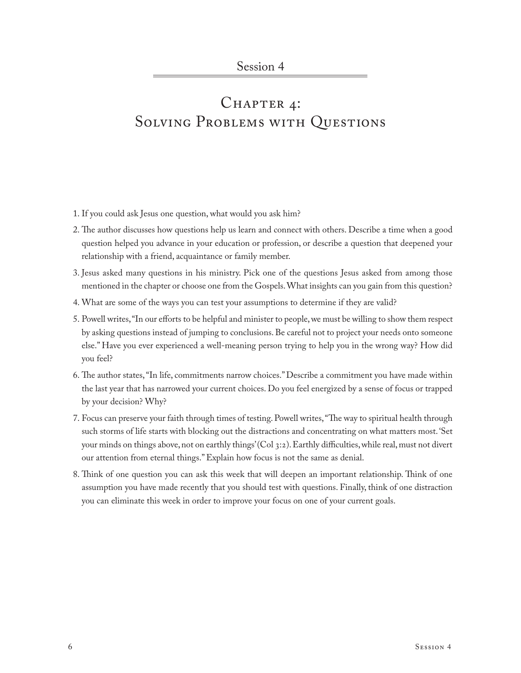# CHAPTER 4: SOLVING PROBLEMS WITH QUESTIONS

- 1. If you could ask Jesus one question, what would you ask him?
- 2. The author discusses how questions help us learn and connect with others. Describe a time when a good question helped you advance in your education or profession, or describe a question that deepened your relationship with a friend, acquaintance or family member.
- 3. Jesus asked many questions in his ministry. Pick one of the questions Jesus asked from among those mentioned in the chapter or choose one from the Gospels. What insights can you gain from this question?
- 4. What are some of the ways you can test your assumptions to determine if they are valid?
- 5. Powell writes, "In our efforts to be helpful and minister to people, we must be willing to show them respect by asking questions instead of jumping to conclusions. Be careful not to project your needs onto someone else." Have you ever experienced a well-meaning person trying to help you in the wrong way? How did you feel?
- 6. The author states, "In life, commitments narrow choices." Describe a commitment you have made within the last year that has narrowed your current choices. Do you feel energized by a sense of focus or trapped by your decision? Why?
- 7. Focus can preserve your faith through times of testing. Powell writes, "The way to spiritual health through such storms of life starts with blocking out the distractions and concentrating on what matters most. 'Set your minds on things above, not on earthly things' (Col 3:2). Earthly difficulties, while real, must not divert our attention from eternal things." Explain how focus is not the same as denial.
- 8. Think of one question you can ask this week that will deepen an important relationship. Think of one assumption you have made recently that you should test with questions. Finally, think of one distraction you can eliminate this week in order to improve your focus on one of your current goals.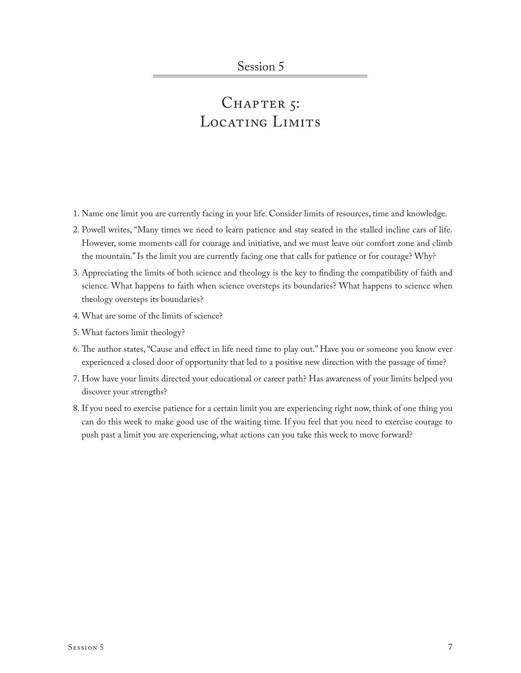# CHAPTER 5: LOCATING LIMITS

- 1. Name one limit you are currently facing in your life. Consider limits of resources, time and knowledge.
- 2. Powell writes, "Many times we need to learn patience and stay seated in the stalled incline cars of life. However, some moments call for courage and initiative, and we must leave our comfort zone and climb the mountain." Is the limit you are currently facing one that calls for patience or for courage? Why?
- 3. Appreciating the limits of both science and theology is the key to finding the compatibility of faith and science. What happens to faith when science oversteps its boundaries? What happens to science when theology oversteps its boundaries?
- 4. What are some of the limits of science?
- 5. What factors limit theology?
- 6. The author states, "Cause and effect in life need time to play out." Have you or someone you know ever experienced a closed door of opportunity that led to a positive new direction with the passage of time?
- 7. How have your limits directed your educational or career path? Has awareness of your limits helped you discover your strengths?
- 8. If you need to exercise patience for a certain limit you are experiencing right now, think of one thing you can do this week to make good use of the waiting time. If you feel that you need to exercise courage to push past a limit you are experiencing, what actions can you take this week to move forward?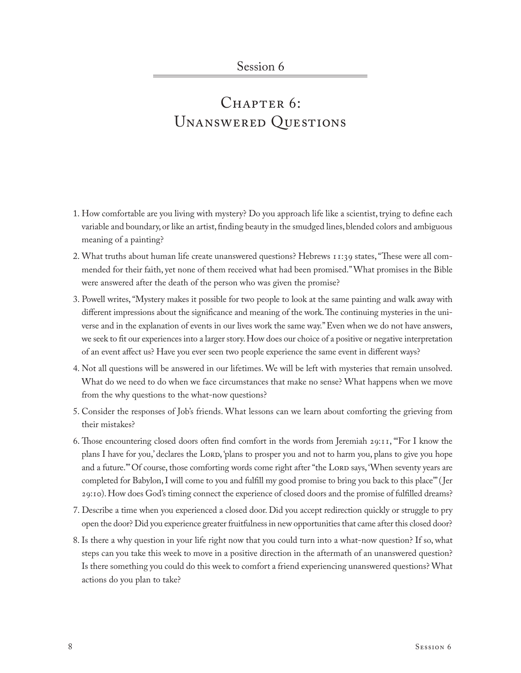## $CHAPTER 6$ : Unanswered Questions

- 1. How comfortable are you living with mystery? Do you approach life like a scientist, trying to define each variable and boundary, or like an artist, finding beauty in the smudged lines, blended colors and ambiguous meaning of a painting?
- 2. What truths about human life create unanswered questions? Hebrews 11:39 states, "These were all commended for their faith, yet none of them received what had been promised." What promises in the Bible were answered after the death of the person who was given the promise?
- 3. Powell writes, "Mystery makes it possible for two people to look at the same painting and walk away with different impressions about the significance and meaning of the work. The continuing mysteries in the universe and in the explanation of events in our lives work the same way." Even when we do not have answers, we seek to fit our experiences into a larger story. How does our choice of a positive or negative interpretation of an event affect us? Have you ever seen two people experience the same event in different ways?
- 4. Not all questions will be answered in our lifetimes. We will be left with mysteries that remain unsolved. What do we need to do when we face circumstances that make no sense? What happens when we move from the why questions to the what-now questions?
- 5. Consider the responses of Job's friends. What lessons can we learn about comforting the grieving from their mistakes?
- 6. Those encountering closed doors often find comfort in the words from Jeremiah 29:11, "'For I know the plans I have for you,' declares the Lord, 'plans to prosper you and not to harm you, plans to give you hope and a future." Of course, those comforting words come right after "the LORD says, 'When seventy years are completed for Babylon, I will come to you and fulfill my good promise to bring you back to this place'" (Jer 29:10). How does God's timing connect the experience of closed doors and the promise of fulfilled dreams?
- 7. Describe a time when you experienced a closed door. Did you accept redirection quickly or struggle to pry open the door? Did you experience greater fruitfulness in new opportunities that came after this closed door?
- 8. Is there a why question in your life right now that you could turn into a what-now question? If so, what steps can you take this week to move in a positive direction in the aftermath of an unanswered question? Is there something you could do this week to comfort a friend experiencing unanswered questions? What actions do you plan to take?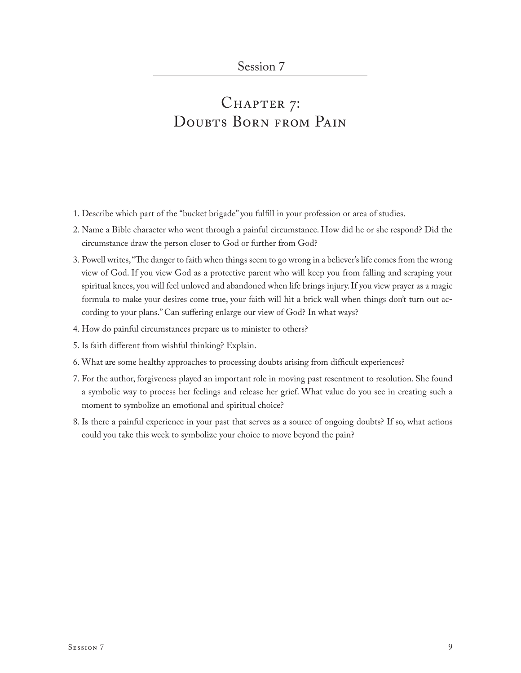# CHAPTER 7: DOUBTS BORN FROM PAIN

- 1. Describe which part of the "bucket brigade" you fulfill in your profession or area of studies.
- 2. Name a Bible character who went through a painful circumstance. How did he or she respond? Did the circumstance draw the person closer to God or further from God?
- 3. Powell writes, "The danger to faith when things seem to go wrong in a believer's life comes from the wrong view of God. If you view God as a protective parent who will keep you from falling and scraping your spiritual knees, you will feel unloved and abandoned when life brings injury. If you view prayer as a magic formula to make your desires come true, your faith will hit a brick wall when things don't turn out according to your plans." Can suffering enlarge our view of God? In what ways?
- 4. How do painful circumstances prepare us to minister to others?
- 5. Is faith different from wishful thinking? Explain.
- 6. What are some healthy approaches to processing doubts arising from difficult experiences?
- 7. For the author, forgiveness played an important role in moving past resentment to resolution. She found a symbolic way to process her feelings and release her grief. What value do you see in creating such a moment to symbolize an emotional and spiritual choice?
- 8. Is there a painful experience in your past that serves as a source of ongoing doubts? If so, what actions could you take this week to symbolize your choice to move beyond the pain?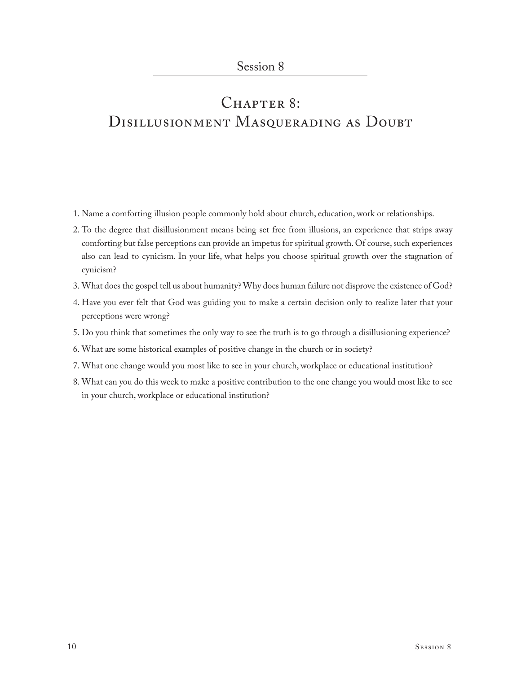# CHAPTER 8: DISILLUSIONMENT MASQUERADING AS DOUBT

- 1. Name a comforting illusion people commonly hold about church, education, work or relationships.
- 2. To the degree that disillusionment means being set free from illusions, an experience that strips away comforting but false perceptions can provide an impetus for spiritual growth. Of course, such experiences also can lead to cynicism. In your life, what helps you choose spiritual growth over the stagnation of cynicism?
- 3. What does the gospel tell us about humanity? Why does human failure not disprove the existence of God?
- 4. Have you ever felt that God was guiding you to make a certain decision only to realize later that your perceptions were wrong?
- 5. Do you think that sometimes the only way to see the truth is to go through a disillusioning experience?
- 6. What are some historical examples of positive change in the church or in society?
- 7. What one change would you most like to see in your church, workplace or educational institution?
- 8. What can you do this week to make a positive contribution to the one change you would most like to see in your church, workplace or educational institution?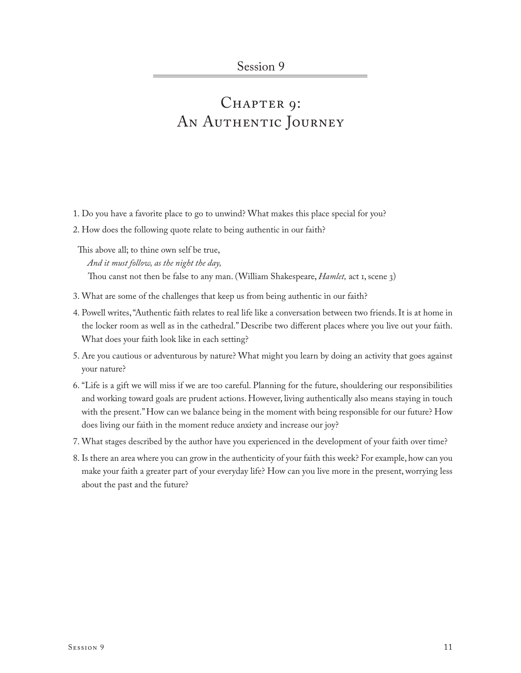# CHAPTER 9: AN AUTHENTIC JOURNEY

- 1. Do you have a favorite place to go to unwind? What makes this place special for you?
- 2. How does the following quote relate to being authentic in our faith?

This above all; to thine own self be true, *And it must follow, as the night the day,* Thou canst not then be false to any man. (William Shakespeare, *Hamlet,* act 1, scene 3)

- 3. What are some of the challenges that keep us from being authentic in our faith?
- 4. Powell writes, "Authentic faith relates to real life like a conversation between two friends. It is at home in the locker room as well as in the cathedral." Describe two different places where you live out your faith. What does your faith look like in each setting?
- 5. Are you cautious or adventurous by nature? What might you learn by doing an activity that goes against your nature?
- 6. "Life is a gift we will miss if we are too careful. Planning for the future, shouldering our responsibilities and working toward goals are prudent actions. However, living authentically also means staying in touch with the present." How can we balance being in the moment with being responsible for our future? How does living our faith in the moment reduce anxiety and increase our joy?
- 7. What stages described by the author have you experienced in the development of your faith over time?
- 8. Is there an area where you can grow in the authenticity of your faith this week? For example, how can you make your faith a greater part of your everyday life? How can you live more in the present, worrying less about the past and the future?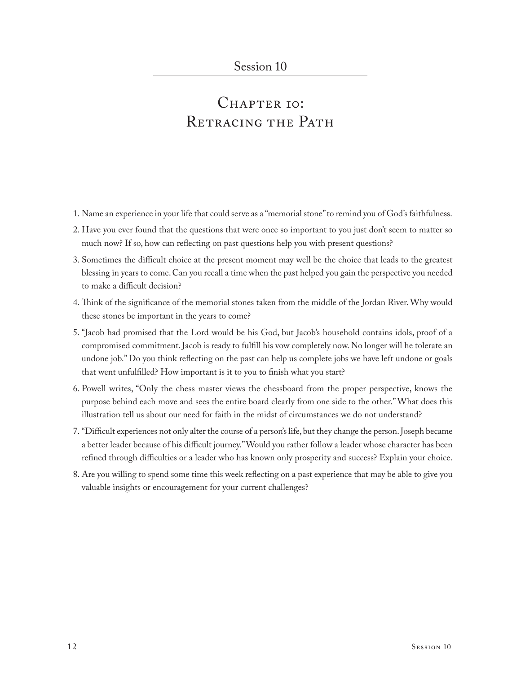### CHAPTER IO: RETRACING THE PATH

- 1. Name an experience in your life that could serve as a "memorial stone" to remind you of God's faithfulness.
- 2. Have you ever found that the questions that were once so important to you just don't seem to matter so much now? If so, how can reflecting on past questions help you with present questions?
- 3. Sometimes the difficult choice at the present moment may well be the choice that leads to the greatest blessing in years to come. Can you recall a time when the past helped you gain the perspective you needed to make a difficult decision?
- 4. Think of the significance of the memorial stones taken from the middle of the Jordan River. Why would these stones be important in the years to come?
- 5. "Jacob had promised that the Lord would be his God, but Jacob's household contains idols, proof of a compromised commitment. Jacob is ready to fulfill his vow completely now. No longer will he tolerate an undone job." Do you think reflecting on the past can help us complete jobs we have left undone or goals that went unfulfilled? How important is it to you to finish what you start?
- 6. Powell writes, "Only the chess master views the chessboard from the proper perspective, knows the purpose behind each move and sees the entire board clearly from one side to the other." What does this illustration tell us about our need for faith in the midst of circumstances we do not understand?
- 7. "Difficult experiences not only alter the course of a person's life, but they change the person. Joseph became a better leader because of his difficult journey." Would you rather follow a leader whose character has been refined through difficulties or a leader who has known only prosperity and success? Explain your choice.
- 8. Are you willing to spend some time this week reflecting on a past experience that may be able to give you valuable insights or encouragement for your current challenges?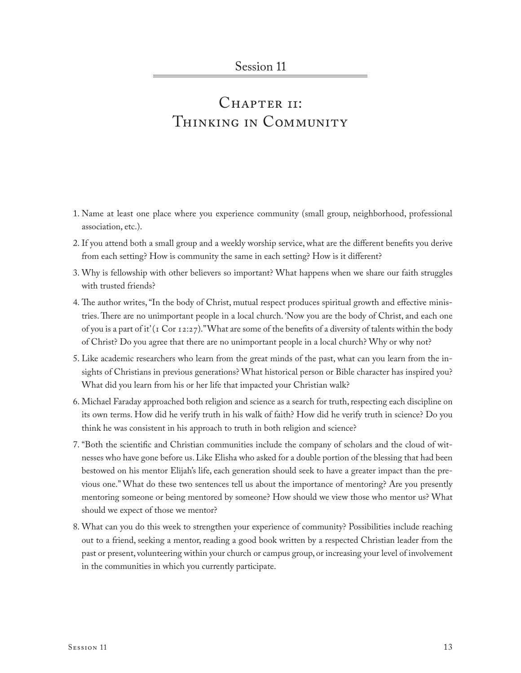### CHAPTER II: Thinking in Community

- 1. Name at least one place where you experience community (small group, neighborhood, professional association, etc.).
- 2. If you attend both a small group and a weekly worship service, what are the different benefits you derive from each setting? How is community the same in each setting? How is it different?
- 3. Why is fellowship with other believers so important? What happens when we share our faith struggles with trusted friends?
- 4. The author writes, "In the body of Christ, mutual respect produces spiritual growth and effective ministries. There are no unimportant people in a local church. 'Now you are the body of Christ, and each one of you is a part of it' (1 Cor 12:27)." What are some of the benefits of a diversity of talents within the body of Christ? Do you agree that there are no unimportant people in a local church? Why or why not?
- 5. Like academic researchers who learn from the great minds of the past, what can you learn from the insights of Christians in previous generations? What historical person or Bible character has inspired you? What did you learn from his or her life that impacted your Christian walk?
- 6. Michael Faraday approached both religion and science as a search for truth, respecting each discipline on its own terms. How did he verify truth in his walk of faith? How did he verify truth in science? Do you think he was consistent in his approach to truth in both religion and science?
- 7. "Both the scientific and Christian communities include the company of scholars and the cloud of witnesses who have gone before us. Like Elisha who asked for a double portion of the blessing that had been bestowed on his mentor Elijah's life, each generation should seek to have a greater impact than the previous one." What do these two sentences tell us about the importance of mentoring? Are you presently mentoring someone or being mentored by someone? How should we view those who mentor us? What should we expect of those we mentor?
- 8. What can you do this week to strengthen your experience of community? Possibilities include reaching out to a friend, seeking a mentor, reading a good book written by a respected Christian leader from the past or present, volunteering within your church or campus group, or increasing your level of involvement in the communities in which you currently participate.